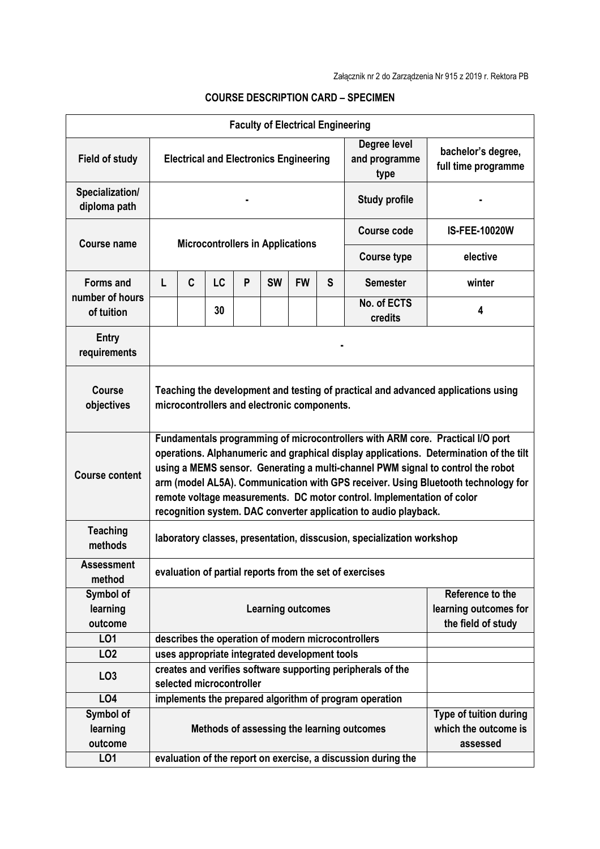| <b>Faculty of Electrical Engineering</b> |                                                                                                                                                                                                                                                                                                                                                                                                                                                                                                |                                                                                         |                                               |   |           |           |   |                                                        |                      |
|------------------------------------------|------------------------------------------------------------------------------------------------------------------------------------------------------------------------------------------------------------------------------------------------------------------------------------------------------------------------------------------------------------------------------------------------------------------------------------------------------------------------------------------------|-----------------------------------------------------------------------------------------|-----------------------------------------------|---|-----------|-----------|---|--------------------------------------------------------|----------------------|
| <b>Field of study</b>                    | Degree level<br>and programme<br><b>Electrical and Electronics Engineering</b><br>type                                                                                                                                                                                                                                                                                                                                                                                                         |                                                                                         |                                               |   |           |           |   | bachelor's degree,<br>full time programme              |                      |
| Specialization/<br>diploma path          | <b>Study profile</b>                                                                                                                                                                                                                                                                                                                                                                                                                                                                           |                                                                                         |                                               |   |           |           |   |                                                        |                      |
| <b>Course name</b>                       | <b>Microcontrollers in Applications</b>                                                                                                                                                                                                                                                                                                                                                                                                                                                        |                                                                                         |                                               |   |           |           |   | Course code                                            | <b>IS-FEE-10020W</b> |
|                                          |                                                                                                                                                                                                                                                                                                                                                                                                                                                                                                |                                                                                         |                                               |   |           |           |   | <b>Course type</b>                                     | elective             |
| <b>Forms and</b>                         | L                                                                                                                                                                                                                                                                                                                                                                                                                                                                                              | C                                                                                       | LC                                            | P | <b>SW</b> | <b>FW</b> | S | <b>Semester</b>                                        | winter               |
| number of hours<br>of tuition            |                                                                                                                                                                                                                                                                                                                                                                                                                                                                                                |                                                                                         | 30                                            |   |           |           |   | No. of ECTS<br>credits                                 | 4                    |
| Entry<br>requirements                    |                                                                                                                                                                                                                                                                                                                                                                                                                                                                                                |                                                                                         |                                               |   |           |           |   |                                                        |                      |
| <b>Course</b><br>objectives              | Teaching the development and testing of practical and advanced applications using<br>microcontrollers and electronic components.                                                                                                                                                                                                                                                                                                                                                               |                                                                                         |                                               |   |           |           |   |                                                        |                      |
| <b>Course content</b>                    | Fundamentals programming of microcontrollers with ARM core. Practical I/O port<br>operations. Alphanumeric and graphical display applications. Determination of the tilt<br>using a MEMS sensor. Generating a multi-channel PWM signal to control the robot<br>arm (model AL5A). Communication with GPS receiver. Using Bluetooth technology for<br>remote voltage measurements. DC motor control. Implementation of color<br>recognition system. DAC converter application to audio playback. |                                                                                         |                                               |   |           |           |   |                                                        |                      |
| <b>Teaching</b><br>methods               | laboratory classes, presentation, disscusion, specialization workshop                                                                                                                                                                                                                                                                                                                                                                                                                          |                                                                                         |                                               |   |           |           |   |                                                        |                      |
| <b>Assessment</b><br>method              | evaluation of partial reports from the set of exercises                                                                                                                                                                                                                                                                                                                                                                                                                                        |                                                                                         |                                               |   |           |           |   |                                                        |                      |
| Symbol of<br>learning<br>outcome         | Reference to the<br>learning outcomes for<br><b>Learning outcomes</b><br>the field of study                                                                                                                                                                                                                                                                                                                                                                                                    |                                                                                         |                                               |   |           |           |   |                                                        |                      |
| LO1                                      |                                                                                                                                                                                                                                                                                                                                                                                                                                                                                                | describes the operation of modern microcontrollers                                      |                                               |   |           |           |   |                                                        |                      |
| LO <sub>2</sub>                          |                                                                                                                                                                                                                                                                                                                                                                                                                                                                                                |                                                                                         | uses appropriate integrated development tools |   |           |           |   |                                                        |                      |
| LO <sub>3</sub>                          |                                                                                                                                                                                                                                                                                                                                                                                                                                                                                                | creates and verifies software supporting peripherals of the<br>selected microcontroller |                                               |   |           |           |   |                                                        |                      |
| LO <sub>4</sub>                          |                                                                                                                                                                                                                                                                                                                                                                                                                                                                                                |                                                                                         |                                               |   |           |           |   | implements the prepared algorithm of program operation |                      |
| Symbol of<br>learning<br>outcome         | Type of tuition during<br>which the outcome is<br>Methods of assessing the learning outcomes<br>assessed                                                                                                                                                                                                                                                                                                                                                                                       |                                                                                         |                                               |   |           |           |   |                                                        |                      |
| LO1                                      |                                                                                                                                                                                                                                                                                                                                                                                                                                                                                                | evaluation of the report on exercise, a discussion during the                           |                                               |   |           |           |   |                                                        |                      |

## **COURSE DESCRIPTION CARD – SPECIMEN**